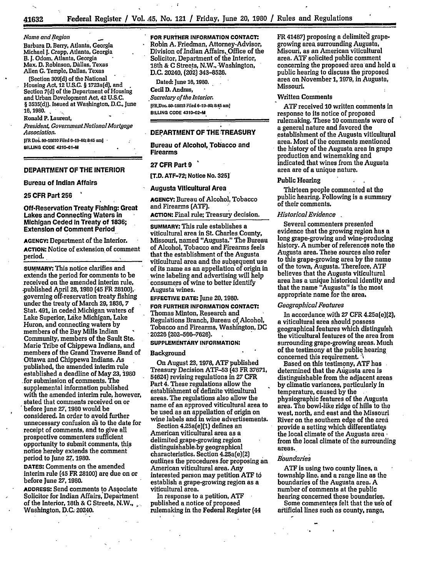**Name and Region** 

Barbara **D.** Berry, Atlanta, Georgia Michael **I.** Crapp, Atlanta, Georgia B. **J.** Odom, Atlanta, Georgia Max. **D.** Robinson, Dallas. Texas Allen **C.** Temple, Dallas, Texas

(Section **309(d)** of the National Housing Act, **12 U.S.C.** § 1723a(d], and Section **7(d)** of the Department of Housing and Urban Development Act, **42 U.S.C.** § **3535(d)).** Issued at Washington, **D.C.,** June **16,1980.**

Ronald P. Laurent,

*President; Government NationalMortgage Association.*

IFR Do. **80-18810** Filed **-19-80;** 845 am] **BILWNG CODE 4210-01-M**

## DEPARTMENT OF **THE INTERIOR**

## Bureau of Indian Affairs

#### **25** CFR Part **256**

Off-Reservation Treaty Fishing: Great Lakes and Connecting Waters in Michigan Ceded In Treaty of **1836;** Extension of Comment Period

**AGENCY:** Department of the Interior. **ACTION:** Notice of extension of comment period.

**SUMMARY:** This notice clarifies and extends the period for comments to be received on the amended interim rule, .published April **28,1980** (45 FR 28100),, governing off-reservation treaty fishing under the treaty of March **29,1836, 7** Stat. 491, in ceded Michigan waters of Lake Superior, **Laike** Michigan, Lake Huron, and connecting waters **by** members of the Bay Mills Indian Community, members of the Sault Ste. Marie Tribe of Chippewa Indians, and members of the Grand Traverse Band of Ottawa and Chippewa Indians. As published, the amended interim rule established a deadline of May **23,** 1980 for submission of comments. The supplemental information published with the amended interim rule, however, stated that comments received on or 'before June **27, 1980** would be considered. In order to avoid further unnecessary confusion as to the date for receipt of comments, and to give all prospective commenters sufficient opportunity to submit comments, this notice hereby extends the comment period to June *27,* **1980.**

**DATES:** Comments on the amended interim rule (45 FR **28100)** are due on or before June **27, 1980.**

**ADDRESS:** Send comments to Associate Solicitor for Indian Affairs, Department of the Interior, 18th & **C** Streets, N.W., Washington, **D.C.** 20240. **FOR FURTHER INFORMATION CONTACT:.** Robin **A.** Friedman, Attorney-Advisor, Division of Indian Affairs, Office of the Solicitor, Department of the Interior, 18th **& C** Streets, N.W.,-Washington, **D.C.** 20240, (202) **343-8526.**

Dated: June **16,1980.** Cecil D. Andrus, - *Secretary of the Interior.* **[FRJDoc. 80-18613** Filed **6-19-80; 8:45** am] **BILLING CODE 4310-02-M**

## DEPARTMENT OF THE TREASURY

Bureau of Alcohol, Tobacco and Firearms

## **27** CFR Part **9**

[T.D. **ATF-72;** Notice No. **325]**

#### Augusta Viticultural Area

**AGENCY:** Bureau of Alcohol, Tobacco and Firearms **(ATF).**

**ACTION:** Final rule; Treasury decision.

**SUMMARY:** This rule establishes a viticultural area in St. Charles County, Missouri, named "Augusta." The Bureau of Alcohol, Tobacco and Firearms feels that the establishment of the Augusta viticultural area and the subsequent use of its name as an appellation of origin in wine labeling and advertising will help consumers of wine to better identify Augusta wines.

**EFFECTIVE DATE:** June **20,1980.**

**FOR FURTHER INFORMATION CONTACT:** Thomas Minton, Research and Regulations Branch, Bureau of Alcohol, Tobacco and Firearms, Washington, **DC** '20226 **(202-566-7626).**

# **SUPPLEMENTARY INFORMATION:**

### Background

On August **23, 1978,** ATF published Treasury Decision **ATF-53** (43 FR **37671,** 54624) revising regulations in **27** CFR Part 4. These regulations allow the establishment of definite viticultural areas. The regulations also allow the name of an approved viticultural area to be used as an appellation of origin on wine labels and in wine advertisements.

Section 4.25a(e)(1) defines an American viticultural area as a delimited grape-growing region distinguishable.by geographical characteristics. Section 4.25a(e)(2) outlines the procedures for proposing an American viticultural area. Any interested person may petition ATF to establish a grape-growing region as a viticultural area.

In response to a petition, **ATF** published a notice of proposed rulemaking in the Federal Register (44

FR 41487) proposing a delimited grapegrowing area. surrounding Augusta, Misouri, as an American viticultural area. **ATF** solicited public comment concerning the proposed area'and **hold a** public hearing to discuss the proposed area on November **1, 1979,** in Augusta, Missouri.

### Written Comments

ATF received **10** written comments in response to its notice of proposed rulemaking. These **10** comments were of a general nature and favored the establishment of the Augusta viticultural area. Most of the comments mentioned the history of the Augusta area In grape production and winemaking and indicated that wines from the Augusta area are of a unique nature.

### Public Hearing **I**

Thirteen people commented at the public hearing. Following is a summary of their comments.

### *Historical Evidence*

Several commenters presented evidence that the growing region has a long grape-growing and wine-producing history. **A** number of references note the Augusta area. These sources also refer to this grape-growing area **by** the name of the town, Augusta. Therefore, ATF believes that the Augusta viticultural area has a unique historical Identity and that the name "Augusta" **is** the most appropriate name for the area,

#### *Geographical Features*

In accordance with **27 CFR 4.25a(e)(2),** a viticultural area should possess geographical features which distinguish the viticultural features of the area from surrounding grape-growing areas. Much of the testimony at the public hearing concerned this requirement.  $\lambda$ 

Based on this testimony, **ATF** has determined that the Aigusta area **is** distinguishable from the adjacent areas **by** climatic variances, particularly in temperature, caused by the physiographic features of the Augusta area. The bowl-like ridge of hills to the west, north, and east and the Missouri River on the southern edge of the area provide a setting which differentiates the local climate of the Augusta area from the local climate of the surrounding areas.

## *Boundaries*

ATF is using two county lines, a township line, and a range line as the boundaries of the Augusta area, **A** number of comments at the public hearing concerned these boundaries.

Some commenters felt that the use of artificial lines such as county, range,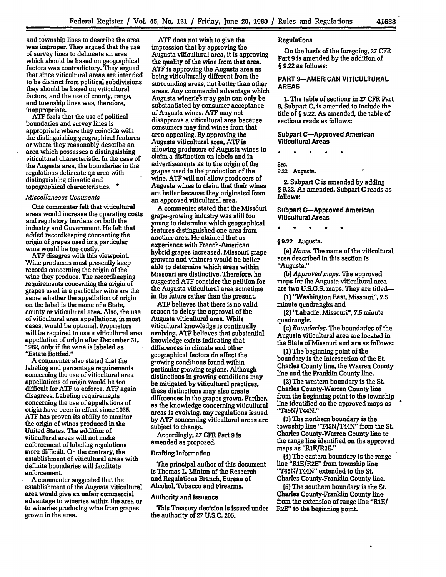and township lines to describe the area was improper. They argued that the use of survey lines to delineate an area which should be based on geographical factors was contradictory. They argued that since viticultural areas are intended to be distinct from political subdivisions they should be based on viticultural factors, and the use of county, range, and township lines was, therefore, inappropriate.

**ATF** feels that the use of political boundaries and survey lines is appropriate where they coincide with the distinguishing geographical features or where they reasonably describe an area which possesses a distinguishing viticultural characteristic. In the case of the Augusta area, the boundaries in the regulations delineate an area with distinguishing climatic and topographical characteristics.

## *Mscellaneous Comments*

One commenter felt that viticultural areas would increase the operating costs and regulatory burdens on both the industry and Government. He felt that added recordkeeping concerning the origin of grapes used in a particular wine would be too costly.

**ATF** disagres with this viewpoint. Wine producers must presently keep records concerning the origin of the wine they produce. The recordkeeping requirements concerning the origin of grapes used in a particular wine are the same whether the appellation of origin on the label is the name of a State, county or viticultural area. Also, the use of viticultural area appellations, in most cases, would be optional. Proprietors will be required to use a viticultural area appellation of origin after December **31, 1982,** only if the wine is labeled as "Estate Bottled."

A commenter also stated that the labeling and percentage requirements concerning the use of viticultural area appellations of origin would be too difficult for **ATF** to enforce. **ATF** again disagrees. Labeling requirements concerning the use of appellations of origin have been in effect since **1935. ATF** has proven its ability to monitor the origin of wines produced in the United States. The addition of viticultural areas will not make enforcement of labeling regulations more difficult. On the contrary, the establishment of viticultural areas with definite boundaries will facilitate enforcement.

**A** commenter suggested that the establishment of the Augusta viticultural area would give an unfair commercial advantage to wineries within the area or -to wineries producing wine from grapes grown in the area.

**ATF** does not wish to give the impression that **by** approving the Augusta viticultural area, it is approving the quality **of** the wine from that area. **ATF** is approving the Augusta area as being viticulturally different from the surrounding areas, not better than other areas. Any commercial advantage which Augusta wineries may gain can only be substantiated by consumer acceptance of Augusta wines. **ATF** may not disapprove a viticultural area because consumers may find wines from that area appealing. **By** approving the Augusta viticultural area, **ATF** is allowing producers of Augusta wines to claim a distinction on labels and in advertisements as to the origin of the grapes used in **the** production of the wine. **ATF** will not allow producers of Augusta wines to claim that their wines are better because they originated from an approved viticultural area.

**A** commenter stated that the Missouri grape-growing industry was still too young to determine which geographical features distinguished one area from another area. He claimed that as experience with French-American hybrid grapes increased, Missouri grape growers and vintners would be better able to determine which areas within Missouri are distinctive. Therefore, he suggested **ATF** consider the petition for the Augusta viticultural area sometime in the future rather than the present.

**ATF** believes that there is no valid reason to delay the approval of the Augusta viticultural area. While viticultural knowledge is continually evolving, ATF believes that substantial knowledge exists indicating that differences in climate and other geographical factors do affect the growing conditions found within particular growing regions. Although distinctions in growing conditions may be mitigated by viticultural practices, these distinctions may also create differences in the grapes grown. Further, as the knowledge concerning viticultural areas Is evolving, any regulations issued by **ATF** concerning viticultural areas are subject to change.

Accordingly, **27** CFR Part **9** is amended as proposed.

#### Drafting Information

The principal author of this document is Thomas L Minton of the Research and Regulations Branch, Bureau of Alcohol, Tobacco and Firearms.

### Authority and Issuance

This Treasury decision Is issued under the authority of **27 U.S.C.** 205.

### Regulations

On the basis **of** the foregoing. **27** CFR Part 9 is amended by the addition of **§** 9.22 as follows:

## PART **9-AMERICAN VITICULTURAL AREAS**

**1.** The table of sections in **27** CFR Part **9.** Subpart **C,** is amended to include the title of § **9.22.** As amended, the table of sections reads as follows:

Subpart C-Approved American Viticultural Areas

## **Sac.**

922 Augusta.

2. Subpart **C** is amended **by** adding § 9.22. As amended. Subpart **C** reads as **follows:**

Subpart C-Approved American Viticultural Areas

\* \* \* \*

§9.22 **AugusaL**

*(a) Name.* The name of the viticultural area described in this section is "Augusta."

*(b) Approvedmops.* The approved maps for the Augusta viticultural area are two **U.S.G.S.** maps. They are titled-

**(1)** 'Washington East, Missouri", 7.5 minute quadrangle; and

(2) "Labadie, Missouri", **7.5** minute quadrangle.

*(c) Boundaries. The* boundaries of the Augusta viticultural area are located in the State of Missouri and are as follows:

**(1)** The beginning point of the boundary is the intersection of the **St.** Charles County line, the Warren County line and the Franklin County line.

(2) The western boundary is the *St.* Charles County-Warren County line from the beginning point to the township line identified on the approved maps as "T45N/T44N."

**(3)** The northern boundary is the township line 'r45N/T44N' from the **St.** Charles County-Warren County line to the range line identified on the approved maps as "RIE/R2E."

(4) The eastern boundary is the range line "RIE/R2E" from township line "T45N/T44N" extended to the St. Charles County-Franklin County line.

**(5)** The southern boundary is the **St.** Charles County-Franklin County line from the extension of range line "R1E/ R2E" to the beginning point.